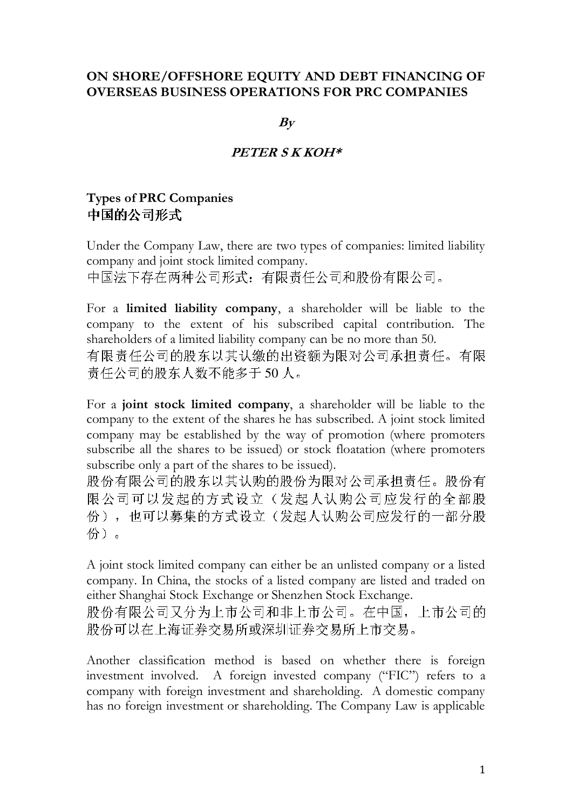### ON SHORE/OFFSHORE EQUITY AND DEBT FINANCING OF OVERSEAS BUSINESS OPERATIONS FOR PRC COMPANIES

 $B_V$ 

#### PETER S K KOH\*

## Types of PRC Companies 中国的公司形式

Under the Company Law, there are two types of companies: limited liability company and joint stock limited company.

中国法下存在两种公司形式:有限责任公司和股份有限公司。

For a limited liability company, a shareholder will be liable to the company to the extent of his subscribed capital contribution. The shareholders of a limited liability company can be no more than 50. 有限责任公司的股东以其认缴的出资额为限对公司承担责任。有限 责任公司的股东人数不能多于 50 人。

For a joint stock limited company, a shareholder will be liable to the company to the extent of the shares he has subscribed. A joint stock limited company may be established by the way of promotion (where promoters subscribe all the shares to be issued) or stock floatation (where promoters subscribe only a part of the shares to be issued).

股份有限公司的股东以其认购的股份为限对公司承担责任。股份有 限公司可以发起的方式设立(发起人认购公司应发行的全部股 份),也可以募集的方式设立(发起人认购公司应发行的一部分股 份)。

A joint stock limited company can either be an unlisted company or a listed company. In China, the stocks of a listed company are listed and traded on either Shanghai Stock Exchange or Shenzhen Stock Exchange.

股份有限公司又分为上市公司和非上市公司。在中国,上市公司的 股份可以在上海证券交易所或深圳证券交易所上市交易。

Another classification method is based on whether there is foreign investment involved. A foreign invested company ("FIC") refers to a company with foreign investment and shareholding. A domestic company has no foreign investment or shareholding. The Company Law is applicable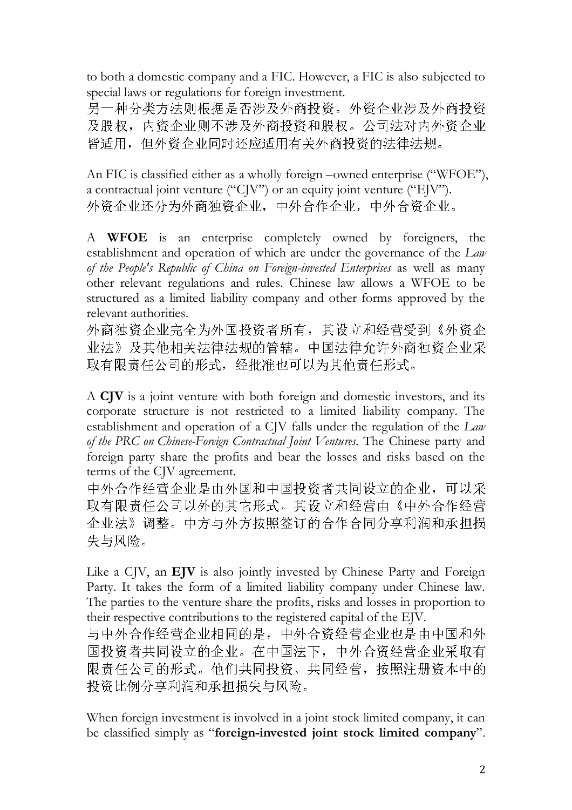to both a domestic company and a FIC. However, a FIC is also subjected to special laws or regulations for foreign investment.

另一种分类方法则根据是否涉及外商投资。外资企业涉及外商投资 及股权,内资企业则不涉及外商投资和股权。公司法对内外资企业 皆适用,但外资企业同时还应适用有关外商投资的法律法规。

An FIC is classified either as a wholly foreign –owned enterprise ("WFOE"), a contractual joint venture ("CJV") or an equity joint venture ("EJV"). 外资企业还分为外商独资企业,中外合作企业,中外合资企业。

A WFOE is an enterprise completely owned by foreigners, the establishment and operation of which are under the governance of the Law of the People's Republic of China on Foreign-invested Enterprises as well as many other relevant regulations and rules. Chinese law allows a WFOE to be structured as a limited liability company and other forms approved by the relevant authorities.

外商独资企业完全为外国投资者所有,其设立和经营受到《外资企 业法》及其他相关法律法规的管辖。中国法律允许外商独资企业采 取有限责任公司的形式,经批准也可以为其他责任形式。

A CJV is a joint venture with both foreign and domestic investors, and its corporate structure is not restricted to a limited liability company. The establishment and operation of a CJV falls under the regulation of the Law of the PRC on Chinese-Foreign Contractual Joint Ventures. The Chinese party and foreign party share the profits and bear the losses and risks based on the terms of the CJV agreement.

中外合作经营企业是由外国和中国投资者共同设立的企业,可以采 取有限责任公司以外的其它形式。其设立和经营由《中外合作经营 企业法》调整。中方与外方按照签订的合作合同分享利润和承担损 失与风险。

Like a CJV, an EJV is also jointly invested by Chinese Party and Foreign Party. It takes the form of a limited liability company under Chinese law. The parties to the venture share the profits, risks and losses in proportion to their respective contributions to the registered capital of the EJV.

与中外合作经营企业相同的是,中外合资经营企业也是由中国和外 国投资者共同设立的企业。在中国法下,中外合资经营企业采取有 限责任公司的形式。他们共同投资、共同经营,按照注册资本中的 投资比例分享利润和承担损失与风险。

When foreign investment is involved in a joint stock limited company, it can be classified simply as "foreign-invested joint stock limited company".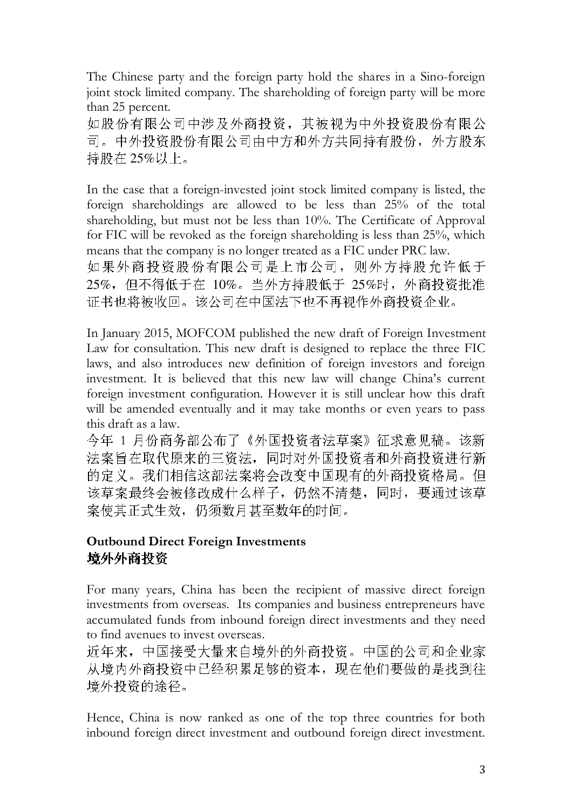The Chinese party and the foreign party hold the shares in a Sino-foreign joint stock limited company. The shareholding of foreign party will be more than 25 percent.

如股份有限公司中涉及外商投资,其被视为中外投资股份有限公 司。中外投资股份有限公司由中方和外方共同持有股份,外方股东 持股在 25%以上。

In the case that a foreign-invested joint stock limited company is listed, the foreign shareholdings are allowed to be less than 25% of the total shareholding, but must not be less than 10%. The Certificate of Approval for FIC will be revoked as the foreign shareholding is less than 25%, which means that the company is no longer treated as a FIC under PRC law. 如果外商投资股份有限公司是上市公司,则外方持股允许低于 25%,但不得低于在 10%。当外方持股低于 25%时,外商投资批准 证书也将被收回。该公司在中国法下也不再视作外商投资企业。

In January 2015, MOFCOM published the new draft of Foreign Investment Law for consultation. This new draft is designed to replace the three FIC laws, and also introduces new definition of foreign investors and foreign investment. It is believed that this new law will change China's current foreign investment configuration. However it is still unclear how this draft will be amended eventually and it may take months or even years to pass this draft as a law.

今年 1 月份商务部公布了《外国投资者法草案》征求意见稿。该新 法案旨在取代原来的三资法,同时对外国投资者和外商投资进行新 的定义。我们相信这部法案将会改变中国现有的外商投资格局。但 该草案最终会被修改成什么样子,仍然不清楚,同时,要通过该草 案使其正式生效,仍须数月甚至数年的时间。

## Outbound Direct Foreign Investments 境外外商投资

For many years, China has been the recipient of massive direct foreign investments from overseas. Its companies and business entrepreneurs have accumulated funds from inbound foreign direct investments and they need to find avenues to invest overseas.

近年来,中国接受大量来自境外的外商投资。中国的公司和企业家 从境内外商投资中已经积累足够的资本,现在他们要做的是找到往 境外投资的途径。

Hence, China is now ranked as one of the top three countries for both inbound foreign direct investment and outbound foreign direct investment.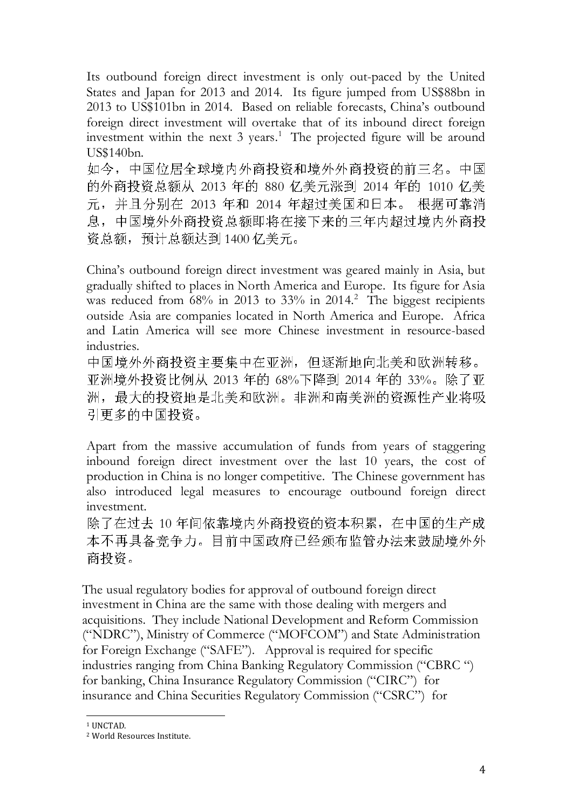Its outbound foreign direct investment is only out-paced by the United States and Japan for 2013 and 2014. Its figure jumped from US\$88bn in 2013 to US\$101bn in 2014. Based on reliable forecasts, China's outbound foreign direct investment will overtake that of its inbound direct foreign investment within the next  $3$  years.<sup>1</sup> The projected figure will be around US\$140bn.

如今,中国位居全球境内外商投资和境外外商投资的前三名。中国 的外商投资总额从 2013 年的 880 亿美元涨到 2014 年的 1010 亿美 元,并且分别在 2013 年和 2014 年超过美国和日本。 根据可靠消 息,中国境外外商投资总额即将在接下来的三年内超过境内外商投 资总额,预计总额达到 1400 亿美元。

China's outbound foreign direct investment was geared mainly in Asia, but gradually shifted to places in North America and Europe. Its figure for Asia was reduced from  $68\%$  in 2013 to 33% in 2014.<sup>2</sup> The biggest recipients outside Asia are companies located in North America and Europe. Africa and Latin America will see more Chinese investment in resource-based industries.

中国境外外商投资主要集中在亚洲,但逐渐地向北美和欧洲转移。 亚洲境外投资比例从 2013 年的 68%下降到 2014 年的 33%。除了亚 洲,最大的投资地是北美和欧洲。非洲和南美洲的资源性产业将吸 引更多的中国投资。

Apart from the massive accumulation of funds from years of staggering inbound foreign direct investment over the last 10 years, the cost of production in China is no longer competitive. The Chinese government has also introduced legal measures to encourage outbound foreign direct investment.

除了在过去 10 年间依靠境内外商投资的资本积累,在中国的生产成 本不再具备竞争力。目前中国政府已经颁布监管办法来鼓励境外外 商投资。

The usual regulatory bodies for approval of outbound foreign direct investment in China are the same with those dealing with mergers and acquisitions. They include National Development and Reform Commission ("NDRC"), Ministry of Commerce ("MOFCOM") and State Administration for Foreign Exchange ("SAFE"). Approval is required for specific industries ranging from China Banking Regulatory Commission ("CBRC ") for banking, China Insurance Regulatory Commission ("CIRC") for insurance and China Securities Regulatory Commission ("CSRC") for

 $\overline{a}$ <sup>1</sup> UNCTAD.

<sup>2</sup> World Resources Institute.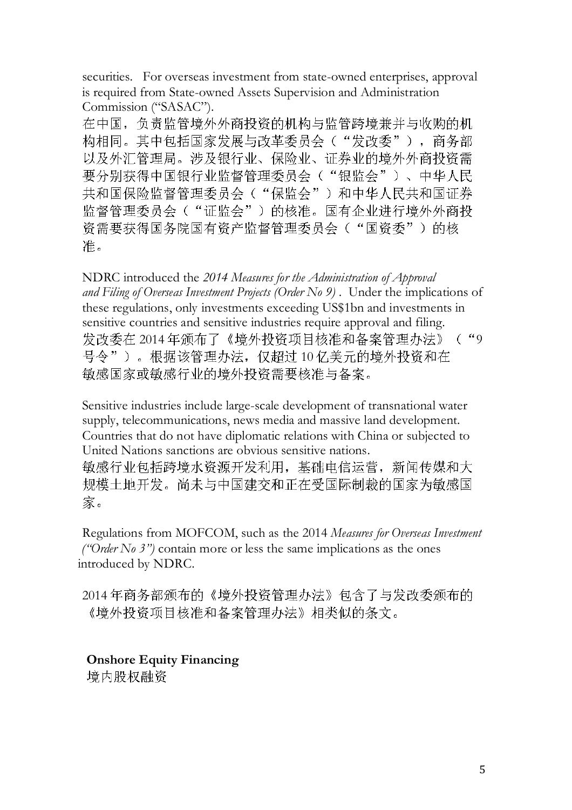securities. For overseas investment from state-owned enterprises, approval is required from State-owned Assets Supervision and Administration Commission ("SASAC").

在中国,负责监管境外外商投资的机构与监管跨境兼并与收购的机 构相同。其中包括国家发展与改革委员会("发改委"),商务部 以及外汇管理局。涉及银行业、保险业、证券业的境外外商投资需 要分别获得中国银行业监督管理委员会("银监会")、中华人民 共和国保险监督管理委员会("保监会")和中华人民共和国证券 监督管理委员会("证监会")的核准。国有企业进行境外外商投 资需要获得国务院国有资产监督管理委员会("国资委")的核 准。

NDRC introduced the 2014 Measures for the Administration of Approval and Filing of Overseas Investment Projects (Order No 9). Under the implications of these regulations, only investments exceeding US\$1bn and investments in sensitive countries and sensitive industries require approval and filing. 发改委在 2014 年颁布了《境外投资项目核准和备案管理办法》("9 号令")。根据该管理办法,仅超过 10 亿美元的境外投资和在 敏感国家或敏感行业的境外投资需要核准与备案。

Sensitive industries include large-scale development of transnational water supply, telecommunications, news media and massive land development. Countries that do not have diplomatic relations with China or subjected to United Nations sanctions are obvious sensitive nations. 敏感行业包括跨境水资源开发利用,基础电信运营,新闻传媒和大 规模土地开发。尚未与中国建交和正在受国际制裁的国家为敏感国 家。

Regulations from MOFCOM, such as the 2014 Measures for Overseas Investment ("Order No 3") contain more or less the same implications as the ones introduced by NDRC.

2014 年商务部颁布的《境外投资管理办法》包含了与发改委颁布的 《境外投资项目核准和备案管理办法》相类似的条文。

Onshore Equity Financing 境内股权融资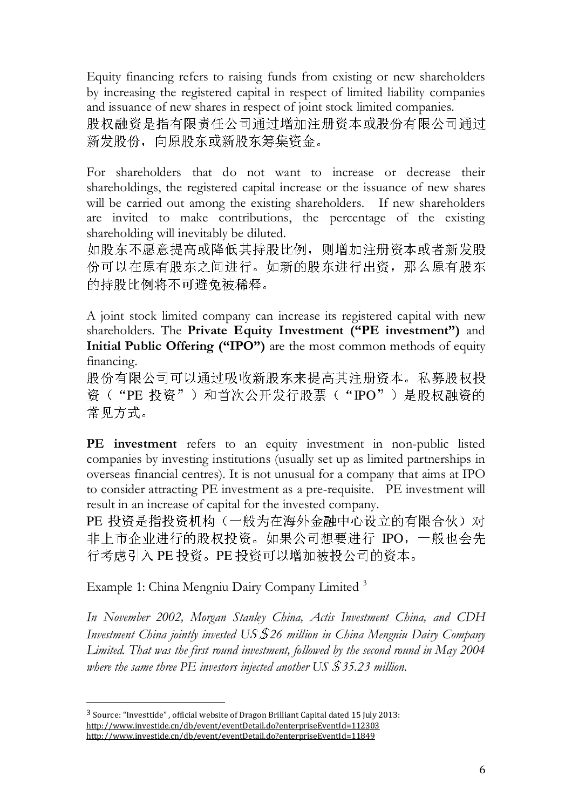Equity financing refers to raising funds from existing or new shareholders by increasing the registered capital in respect of limited liability companies and issuance of new shares in respect of joint stock limited companies. 股权融资是指有限责任公司通过增加注册资本或股份有限公司通过 新发股份,向原股东或新股东筹集资金。

For shareholders that do not want to increase or decrease their shareholdings, the registered capital increase or the issuance of new shares will be carried out among the existing shareholders. If new shareholders are invited to make contributions, the percentage of the existing shareholding will inevitably be diluted.

如股东不愿意提高或降低其持股比例,则增加注册资本或者新发股 份可以在原有股东之间进行。如新的股东进行出资,那么原有股东 的持股比例将不可避免被稀释。

A joint stock limited company can increase its registered capital with new shareholders. The Private Equity Investment ("PE investment") and Initial Public Offering ("IPO") are the most common methods of equity financing.

股份有限公司可以通过吸收新股东来提高其注册资本。私募股权投 资("PE 投资")和首次公开发行股票("IPO")是股权融资的 常见方式。

PE investment refers to an equity investment in non-public listed companies by investing institutions (usually set up as limited partnerships in overseas financial centres). It is not unusual for a company that aims at IPO to consider attracting PE investment as a pre-requisite. PE investment will result in an increase of capital for the invested company.

PE 投资是指投资机构(一般为在海外金融中心设立的有限合伙)对 非上市企业进行的股权投资。如果公司想要进行 IPO,一般也会先 行考虑引入 PE 投资。PE 投资可以增加被投公司的资本。

Example 1: China Mengniu Dairy Company Limited <sup>3</sup>

In November 2002, Morgan Stanley China, Actis Investment China, and CDH Investment China jointly invested US  $$26$  million in China Mengniu Dairy Company Limited. That was the first round investment, followed by the second round in May 2004 where the same three  $PE$  investors injected another US  $$35.23$  million.

 $\overline{a}$ 

<sup>3</sup> Source: "Investtide" , official website of Dragon Brilliant Capital dated 15 July 2013: http://www.investide.cn/db/event/eventDetail.do?enterpriseEventId=112303 http://www.investide.cn/db/event/eventDetail.do?enterpriseEventId=11849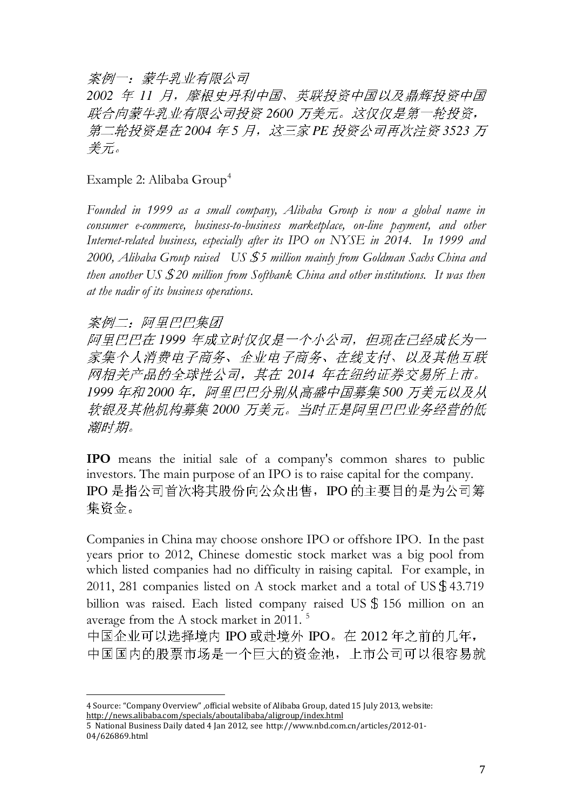案例一:蒙牛乳业有限公司

*2002* 年 *11* 月,摩根史丹利中国、英联投资中国以及鼎辉投资中国 联合向蒙牛乳业有限公司投资 *2600* 万美元。这仅仅是第一轮投资, 第二轮投资是在 2004 年 5 月, 这三家 PE 投资公司再次注资 3523 万 美元。

Example 2: Alibaba Group<sup>4</sup>

Founded in 1999 as a small company, Alibaba Group is now a global name in consumer e-commerce, business-to-business marketplace, on-line payment, and other Internet-related business, especially after its IPO on NYSE in 2014. In 1999 and 2000, Alibaba Group raised US \$5 million mainly from Goldman Sachs China and then another US  $$20$  million from Softbank China and other institutions. It was then at the nadir of its business operations.

#### 案例二:阿里巴巴集团

 $\overline{a}$ 

阿里巴巴在 *1999* 年成立时仅仅是一个小公司,但现在已经成长为一 家集个人消费电子商务、企业电子商务、在线支付、以及其他互联 网相关产品的全球性公司,其在 *2014* 年在纽约证券交易所上市。 *1999* 年和 *2000* 年,阿里巴巴分别从高盛中国募集 *500* 万美元以及从 软银及其他机构募集 *2000* 万美元。当时正是阿里巴巴业务经营的低 潮时期。

IPO means the initial sale of a company's common shares to public investors. The main purpose of an IPO is to raise capital for the company. IPO 是指公司首次将其股份向公众出售,IPO 的主要目的是为公司筹 集资金。

Companies in China may choose onshore IPO or offshore IPO. In the past years prior to 2012, Chinese domestic stock market was a big pool from which listed companies had no difficulty in raising capital. For example, in 2011, 281 companies listed on A stock market and a total of US\$43.719 billion was raised. Each listed company raised US \$156 million on an average from the A stock market in 2011. <sup>5</sup>

中国企业可以选择境内 IPO 或赴境外 IPO。在 2012 年之前的几年, 中国国内的股票市场是一个巨大的资金池,上市公司可以很容易就

<sup>4</sup> Source: "Company Overview" ,official website of Alibaba Group, dated 15 July 2013, website: http://news.alibaba.com/specials/aboutalibaba/aligroup/index.html

<sup>5</sup> National Business Daily dated 4 Jan 2012, see http://www.nbd.com.cn/articles/2012-01- 04/626869.html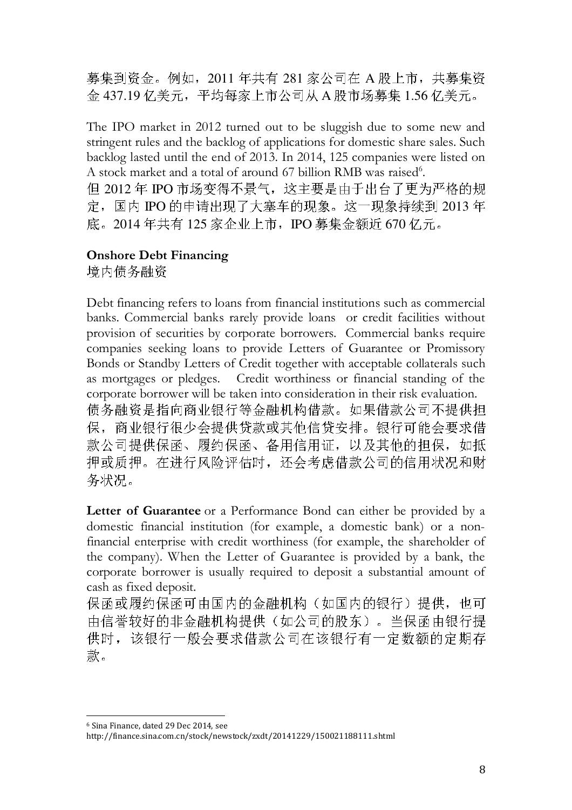募集到资金。例如,2011 年共有 281 家公司在 A 股上市,共募集资 金 437.19 亿美元,平均每家上市公司从 A 股市场募集 1.56 亿美元。

The IPO market in 2012 turned out to be sluggish due to some new and stringent rules and the backlog of applications for domestic share sales. Such backlog lasted until the end of 2013. In 2014, 125 companies were listed on A stock market and a total of around 67 billion RMB was raised<sup>6</sup>. 但 2012 年 IPO 市场变得不景气,这主要是由于出台了更为严格的规 定,国内 IPO 的申请出现了大塞车的现象。这一现象持续到 2013 年 底。2014年共有 125 家企业上市, IPO 募集金额近 670 亿元。

## Onshore Debt Financing

境内债务融资

Debt financing refers to loans from financial institutions such as commercial banks. Commercial banks rarely provide loans or credit facilities without provision of securities by corporate borrowers. Commercial banks require companies seeking loans to provide Letters of Guarantee or Promissory Bonds or Standby Letters of Credit together with acceptable collaterals such as mortgages or pledges. Credit worthiness or financial standing of the corporate borrower will be taken into consideration in their risk evaluation. 债务融资是指向商业银行等金融机构借款。如果借款公司不提供担 保,商业银行很少会提供贷款或其他信贷安排。银行可能会要求借 款公司提供保函、履约保函、备用信用证,以及其他的担保,如抵 押或质押。在进行风险评估时,还会考虑借款公司的信用状况和财 务状况。

Letter of Guarantee or a Performance Bond can either be provided by a domestic financial institution (for example, a domestic bank) or a nonfinancial enterprise with credit worthiness (for example, the shareholder of the company). When the Letter of Guarantee is provided by a bank, the corporate borrower is usually required to deposit a substantial amount of cash as fixed deposit.

保函或履约保函可由国内的金融机构(如国内的银行)提供,也可 由信誉较好的非金融机构提供(如公司的股东)。当保函由银行提 供时,该银行一般会要求借款公司在该银行有一定数额的定期存 款。

 $\overline{a}$ <sup>6</sup> Sina Finance, dated 29 Dec 2014, see http://finance.sina.com.cn/stock/newstock/zxdt/20141229/150021188111.shtml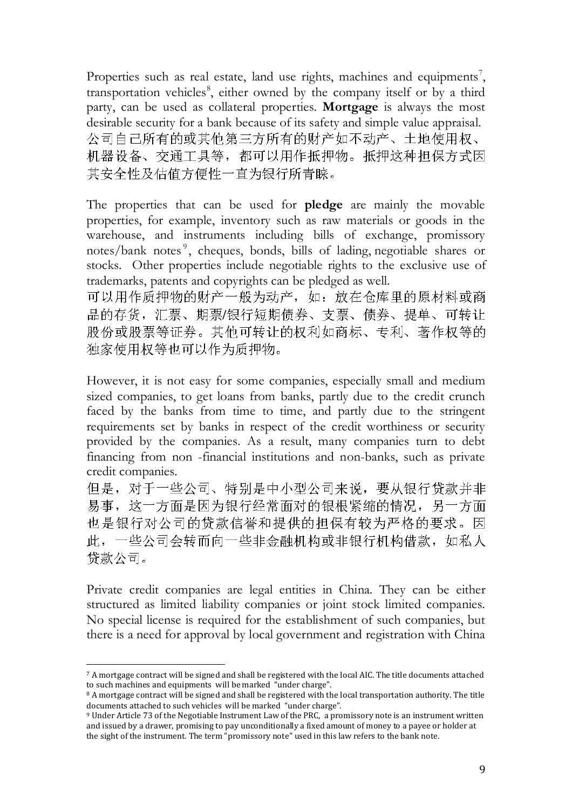Properties such as real estate, land use rights, machines and equipments<sup>7</sup>, transportation vehicles<sup>8</sup>, either owned by the company itself or by a third party, can be used as collateral properties. Mortgage is always the most desirable security for a bank because of its safety and simple value appraisal. 公司自己所有的或其他第三方所有的财产如不动产、土地使用权、 机器设备、交通工具等,都可以用作抵押物。抵押这种担保方式因 其安全性及估值方便性一直为银行所青睐。

The properties that can be used for **pledge** are mainly the movable properties, for example, inventory such as raw materials or goods in the warehouse, and instruments including bills of exchange, promissory notes/bank notes<sup>9</sup>, cheques, bonds, bills of lading, negotiable shares or stocks. Other properties include negotiable rights to the exclusive use of trademarks, patents and copyrights can be pledged as well.

可以用作质押物的财产一般为动产,如:放在仓库里的原材料或商 品的存货,汇票、期票/银行短期债券、支票、债券、提单、可转让 股份或股票等证券。其他可转让的权利如商标、专利、著作权等的 独家使用权等也可以作为质押物。

However, it is not easy for some companies, especially small and medium sized companies, to get loans from banks, partly due to the credit crunch faced by the banks from time to time, and partly due to the stringent requirements set by banks in respect of the credit worthiness or security provided by the companies. As a result, many companies turn to debt financing from non -financial institutions and non-banks, such as private credit companies.

但是,对于一些公司、特别是中小型公司来说,要从银行贷款并非 易事,这一方面是因为银行经常面对的银根紧缩的情况,另一方面 也是银行对公司的贷款信誉和提供的担保有较为严格的要求。因 此,一些公司会转而向一些非金融机构或非银行机构借款,如私人 贷款公司。

Private credit companies are legal entities in China. They can be either structured as limited liability companies or joint stock limited companies. No special license is required for the establishment of such companies, but there is a need for approval by local government and registration with China

 $\overline{a}$ <sup>7</sup> A mortgage contract will be signed and shall be registered with the local AIC. The title documents attached to such machines and equipments will be marked "under charge".

<sup>&</sup>lt;sup>8</sup> A mortgage contract will be signed and shall be registered with the local transportation authority. The title documents attached to such vehicles will be marked "under charge".

<sup>9</sup> Under Article 73 of the Negotiable Instrument Law of the PRC, a promissory note is an instrument written and issued by a drawer, promising to pay unconditionally a fixed amount of money to a payee or holder at the sight of the instrument. The term "promissory note" used in this law refers to the bank note.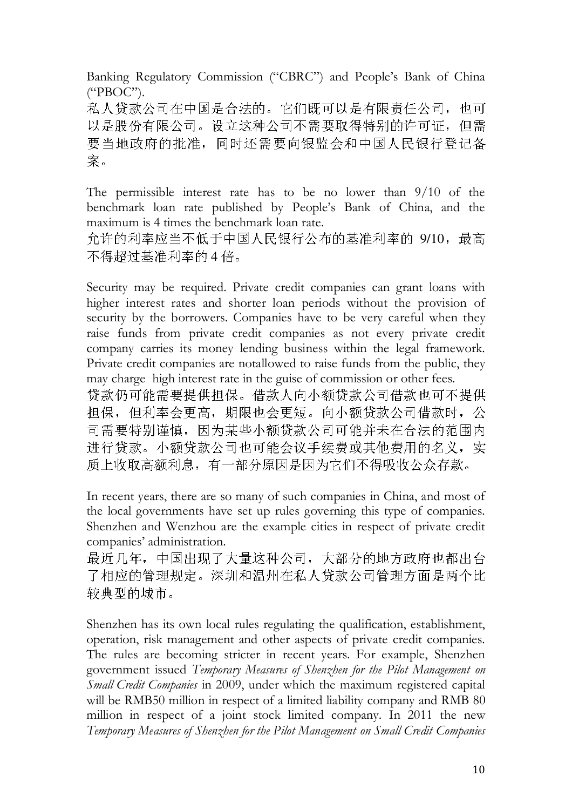Banking Regulatory Commission ("CBRC") and People's Bank of China ("PBOC").

私人贷款公司在中国是合法的。它们既可以是有限责任公司,也可 以是股份有限公司。设立这种公司不需要取得特别的许可证,但需 要当地政府的批准,同时还需要向银监会和中国人民银行登记备 案。

The permissible interest rate has to be no lower than 9/10 of the benchmark loan rate published by People's Bank of China, and the maximum is 4 times the benchmark loan rate.

允许的利率应当不低于中国人民银行公布的基准利率的 9/10,最高 不得超过基准利率的 4 倍。

Security may be required. Private credit companies can grant loans with higher interest rates and shorter loan periods without the provision of security by the borrowers. Companies have to be very careful when they raise funds from private credit companies as not every private credit company carries its money lending business within the legal framework. Private credit companies are notallowed to raise funds from the public, they may charge high interest rate in the guise of commission or other fees. 贷款仍可能需要提供担保。借款人向小额贷款公司借款也可不提供 担保,但利率会更高,期限也会更短。向小额贷款公司借款时,公 司需要特别谨慎,因为某些小额贷款公司可能并未在合法的范围内 进行贷款。小额贷款公司也可能会议手续费或其他费用的名义,实 质上收取高额利息,有一部分原因是因为它们不得吸收公众存款。

In recent years, there are so many of such companies in China, and most of the local governments have set up rules governing this type of companies. Shenzhen and Wenzhou are the example cities in respect of private credit companies' administration.

最近几年,中国出现了大量这种公司,大部分的地方政府也都出台 了相应的管理规定。深圳和温州在私人贷款公司管理方面是两个比 较典型的城市。

Shenzhen has its own local rules regulating the qualification, establishment, operation, risk management and other aspects of private credit companies. The rules are becoming stricter in recent years. For example, Shenzhen government issued Temporary Measures of Shenzhen for the Pilot Management on Small Credit Companies in 2009, under which the maximum registered capital will be RMB50 million in respect of a limited liability company and RMB 80 million in respect of a joint stock limited company. In 2011 the new Temporary Measures of Shenzhen for the Pilot Management on Small Credit Companies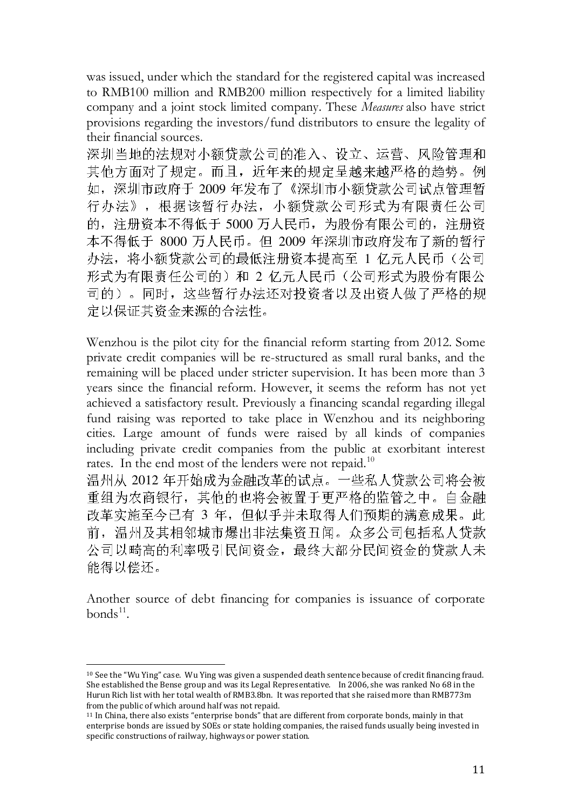was issued, under which the standard for the registered capital was increased to RMB100 million and RMB200 million respectively for a limited liability company and a joint stock limited company. These Measures also have strict provisions regarding the investors/fund distributors to ensure the legality of their financial sources.

深圳当地的法规对小额贷款公司的准入、设立、运营、风险管理和 其他方面对了规定。而且,近年来的规定呈越来越严格的趋势。例 如,深圳市政府于 2009 年发布了《深圳市小额贷款公司试点管理暂 行办法》,根据该暂行办法,小额贷款公司形式为有限责任公司 的,注册资本不得低于 5000 万人民币,为股份有限公司的,注册资 本不得低于 8000 万人民币。但 2009 年深圳市政府发布了新的暂行 办法,将小额贷款公司的最低注册资本提高至 1 亿元人民币(公司 形式为有限责任公司的)和 2 亿元人民币(公司形式为股份有限公 司的)。同时,这些暂行办法还对投资者以及出资人做了严格的规 定以保证其资金来源的合法性。

Wenzhou is the pilot city for the financial reform starting from 2012. Some private credit companies will be re-structured as small rural banks, and the remaining will be placed under stricter supervision. It has been more than 3 years since the financial reform. However, it seems the reform has not yet achieved a satisfactory result. Previously a financing scandal regarding illegal fund raising was reported to take place in Wenzhou and its neighboring cities. Large amount of funds were raised by all kinds of companies including private credit companies from the public at exorbitant interest rates. In the end most of the lenders were not repaid.<sup>10</sup>

温州从 2012 年开始成为金融改革的试点。一些私人贷款公司将会被 重组为农商银行,其他的也将会被置于更严格的监管之中。自金融 改革实施至今已有 3 年,但似乎并未取得人们预期的满意成果。此 前,温州及其相邻城市爆出非法集资丑闻。众多公司包括私人贷款 公司以畸高的利率吸引民间资金,最终大部分民间资金的贷款人未 能得以偿还。

Another source of debt financing for companies is issuance of corporate bonds<sup>11</sup>.

 $\overline{a}$ 

<sup>10</sup> See the "Wu Ying" case. Wu Ying was given a suspended death sentence because of credit financing fraud. She established the Bense group and was its Legal Representative. In 2006, she was ranked No 68 in the Hurun Rich list with her total wealth of RMB3.8bn. It was reported that she raised more than RMB773m from the public of which around half was not repaid.

<sup>11</sup> In China, there also exists "enterprise bonds" that are different from corporate bonds, mainly in that enterprise bonds are issued by SOEs or state holding companies, the raised funds usually being invested in specific constructions of railway, highways or power station.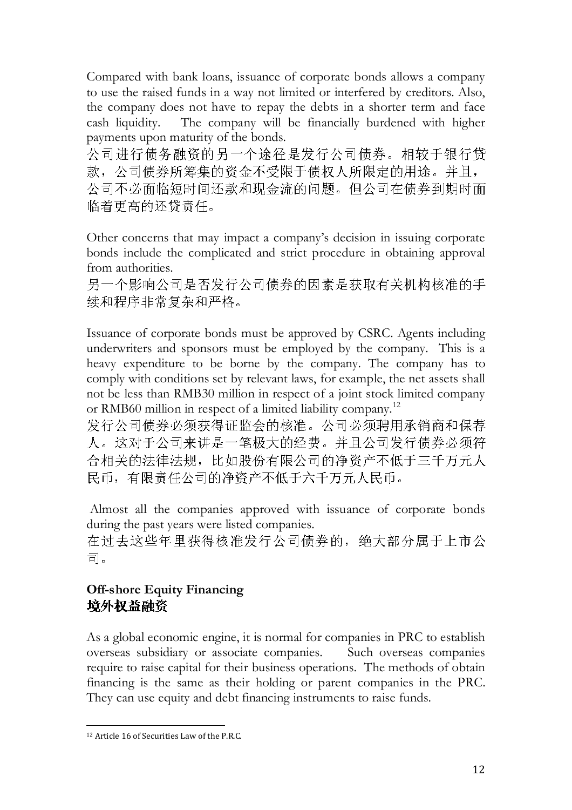Compared with bank loans, issuance of corporate bonds allows a company to use the raised funds in a way not limited or interfered by creditors. Also, the company does not have to repay the debts in a shorter term and face cash liquidity. The company will be financially burdened with higher payments upon maturity of the bonds.

公司进行债务融资的另一个途径是发行公司债券。相较于银行贷 款,公司债券所筹集的资金不受限于债权人所限定的用途。并且, 公司不必面临短时间还款和现金流的问题。但公司在债券到期时面 临着更高的还贷责任。

Other concerns that may impact a company's decision in issuing corporate bonds include the complicated and strict procedure in obtaining approval from authorities.

另一个影响公司是否发行公司债券的因素是获取有关机构核准的手 续和程序非常复杂和严格。

Issuance of corporate bonds must be approved by CSRC. Agents including underwriters and sponsors must be employed by the company. This is a heavy expenditure to be borne by the company. The company has to comply with conditions set by relevant laws, for example, the net assets shall not be less than RMB30 million in respect of a joint stock limited company or RMB60 million in respect of a limited liability company.<sup>12</sup>

发行公司债券必须获得证监会的核准。公司必须聘用承销商和保荐 人。这对于公司来讲是一笔极大的经费。并且公司发行债券必须符 合相关的法律法规,比如股份有限公司的净资产不低于三千万元人 民币,有限责任公司的净资产不低于六千万元人民币。

 Almost all the companies approved with issuance of corporate bonds during the past years were listed companies.

在过去这些年里获得核准发行公司债券的,绝大部分属于上市公 司。

# Off-shore Equity Financing 境外权益融资

As a global economic engine, it is normal for companies in PRC to establish overseas subsidiary or associate companies. Such overseas companies require to raise capital for their business operations. The methods of obtain financing is the same as their holding or parent companies in the PRC. They can use equity and debt financing instruments to raise funds.

 $\overline{a}$ 12 Article 16 of Securities Law of the P.R.C.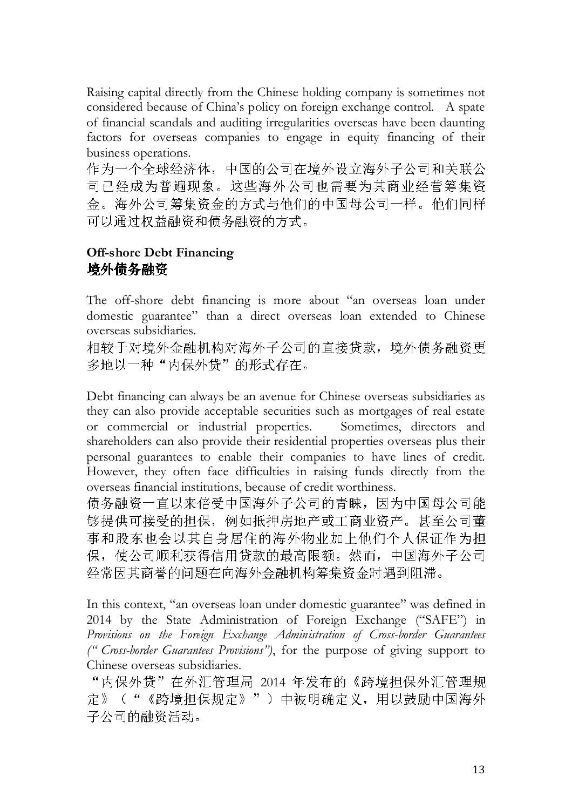Raising capital directly from the Chinese holding company is sometimes not considered because of China's policy on foreign exchange control. A spate of financial scandals and auditing irregularities overseas have been daunting factors for overseas companies to engage in equity financing of their business operations.

作为一个全球经济体,中国的公司在境外设立海外子公司和关联公 司已经成为普遍现象。这些海外公司也需要为其商业经营筹集资 金。海外公司筹集资金的方式与他们的中国母公司一样。他们同样 可以通过权益融资和债务融资的方式。

## Off-shore Debt Financing 境外债务融资

The off-shore debt financing is more about "an overseas loan under domestic guarantee" than a direct overseas loan extended to Chinese overseas subsidiaries.

相较于对境外金融机构对海外子公司的直接贷款,境外债务融资更 多地以一种"内保外贷"的形式存在。

Debt financing can always be an avenue for Chinese overseas subsidiaries as they can also provide acceptable securities such as mortgages of real estate or commercial or industrial properties. Sometimes, directors and shareholders can also provide their residential properties overseas plus their personal guarantees to enable their companies to have lines of credit. However, they often face difficulties in raising funds directly from the overseas financial institutions, because of credit worthiness.

债务融资一直以来倍受中国海外子公司的青睐,因为中国母公司能 够提供可接受的担保,例如抵押房地产或工商业资产。甚至公司董 事和股东也会以其自身居住的海外物业加上他们个人保证作为担 保,使公司顺利获得信用贷款的最高限额。然而,中国海外子公司 经常因其商誉的问题在向海外金融机构筹集资金时遇到阻滞。

In this context, "an overseas loan under domestic guarantee" was defined in 2014 by the State Administration of Foreign Exchange ("SAFE") in Provisions on the Foreign Exchange Administration of Cross-border Guarantees (" Cross-border Guarantees Provisions"), for the purpose of giving support to Chinese overseas subsidiaries.

"内保外贷"在外汇管理局 2014 年发布的《跨境担保外汇管理规 定》("《跨境担保规定》")中被明确定义,用以鼓励中国海外 子公司的融资活动。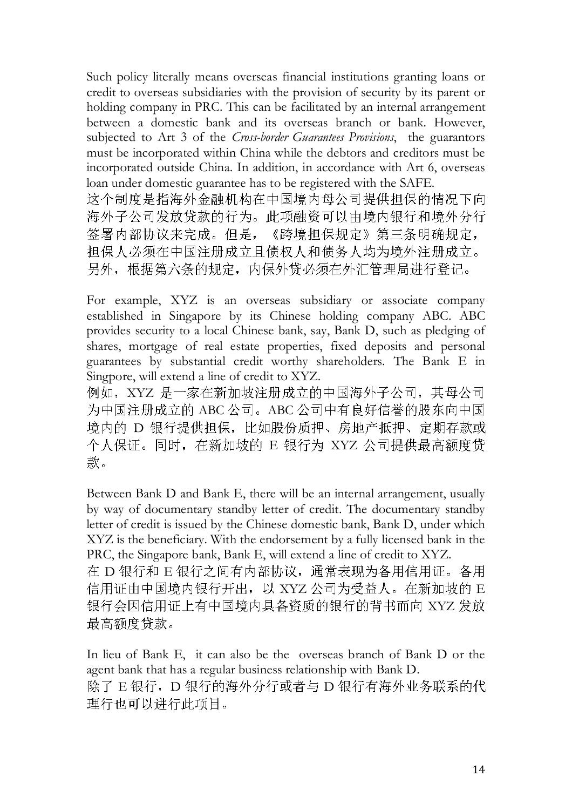Such policy literally means overseas financial institutions granting loans or credit to overseas subsidiaries with the provision of security by its parent or holding company in PRC. This can be facilitated by an internal arrangement between a domestic bank and its overseas branch or bank. However, subjected to Art 3 of the *Cross-border Guarantees Provisions*, the guarantors must be incorporated within China while the debtors and creditors must be incorporated outside China. In addition, in accordance with Art 6, overseas loan under domestic guarantee has to be registered with the SAFE. 这个制度是指海外金融机构在中国境内母公司提供担保的情况下向 海外子公司发放贷款的行为。此项融资可以由境内银行和境外分行 签署内部协议来完成。但是,《跨境担保规定》第三条明确规定,

担保人必须在中国注册成立且债权人和债务人均为境外注册成立。 另外,根据第六条的规定,内保外贷必须在外汇管理局进行登记。

For example, XYZ is an overseas subsidiary or associate company established in Singapore by its Chinese holding company ABC. ABC provides security to a local Chinese bank, say, Bank D, such as pledging of shares, mortgage of real estate properties, fixed deposits and personal guarantees by substantial credit worthy shareholders. The Bank E in Singpore, will extend a line of credit to XYZ.

例如,XYZ 是一家在新加坡注册成立的中国海外子公司,其母公司 为中国注册成立的 ABC 公司。ABC 公司中有良好信誉的股东向中国 境内的 D 银行提供担保,比如股份质押、房地产抵押、定期存款或 个人保证。同时,在新加坡的 E 银行为 XYZ 公司提供最高额度贷 款。

Between Bank D and Bank E, there will be an internal arrangement, usually by way of documentary standby letter of credit. The documentary standby letter of credit is issued by the Chinese domestic bank, Bank D, under which XYZ is the beneficiary. With the endorsement by a fully licensed bank in the PRC, the Singapore bank, Bank E, will extend a line of credit to XYZ.

在 D 银行和 E 银行之间有内部协议,通常表现为备用信用证。备用 信用证由中国境内银行开出,以 XYZ 公司为受益人。在新加坡的 E 银行会因信用证上有中国境内具备资质的银行的背书而向 XYZ 发放 最高额度贷款。

In lieu of Bank E, it can also be the overseas branch of Bank D or the agent bank that has a regular business relationship with Bank D. 除了 E 银行,D 银行的海外分行或者与 D 银行有海外业务联系的代 理行也可以进行此项目。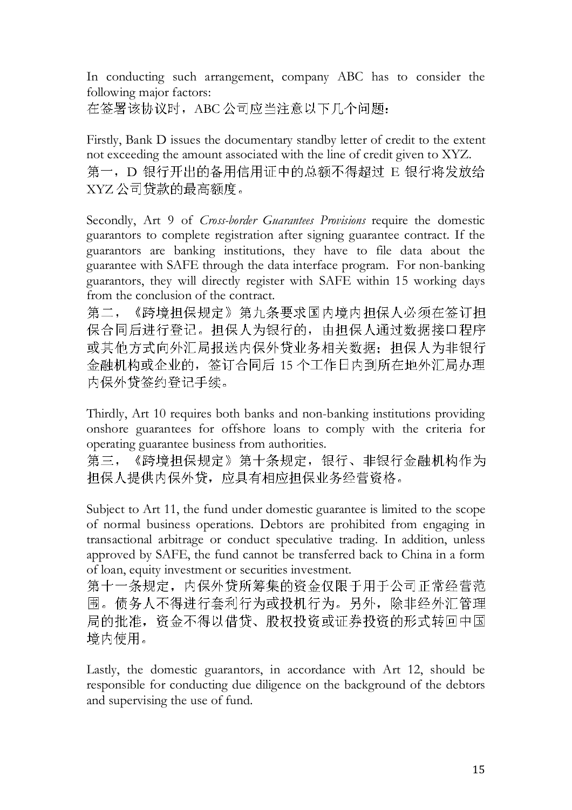In conducting such arrangement, company ABC has to consider the following major factors:

在签署该协议时,ABC 公司应当注意以下几个问题:

Firstly, Bank D issues the documentary standby letter of credit to the extent not exceeding the amount associated with the line of credit given to XYZ. 第一, D 银行开出的备用信用证中的总额不得超过 E 银行将发放给 XYZ公司贷款的最高额度。

Secondly, Art 9 of Cross-border Guarantees Provisions require the domestic guarantors to complete registration after signing guarantee contract. If the guarantors are banking institutions, they have to file data about the guarantee with SAFE through the data interface program. For non-banking guarantors, they will directly register with SAFE within 15 working days from the conclusion of the contract.

第二,《跨境担保规定》第九条要求国内境内担保人必须在签订担 保合同后进行登记。担保人为银行的,由担保人通过数据接口程序 或其他方式向外汇局报送内保外贷业务相关数据;担保人为非银行 金融机构或企业的,签订合同后 15 个工作日内到所在地外汇局办理 内保外贷签约登记手续。

Thirdly, Art 10 requires both banks and non-banking institutions providing onshore guarantees for offshore loans to comply with the criteria for operating guarantee business from authorities.

第三, 《跨境担保规定》第十条规定, 银行、非银行金融机构作为 担保人提供内保外贷,应具有相应担保业务经营资格。

Subject to Art 11, the fund under domestic guarantee is limited to the scope of normal business operations. Debtors are prohibited from engaging in transactional arbitrage or conduct speculative trading. In addition, unless approved by SAFE, the fund cannot be transferred back to China in a form of loan, equity investment or securities investment.

第十一条规定,内保外贷所筹集的资金仅限于用于公司正常经营范 围。债务人不得进行套利行为或投机行为。另外,除非经外汇管理 局的批准,资金不得以借贷、股权投资或证券投资的形式转回中国 境内使用。

Lastly, the domestic guarantors, in accordance with Art 12, should be responsible for conducting due diligence on the background of the debtors and supervising the use of fund.